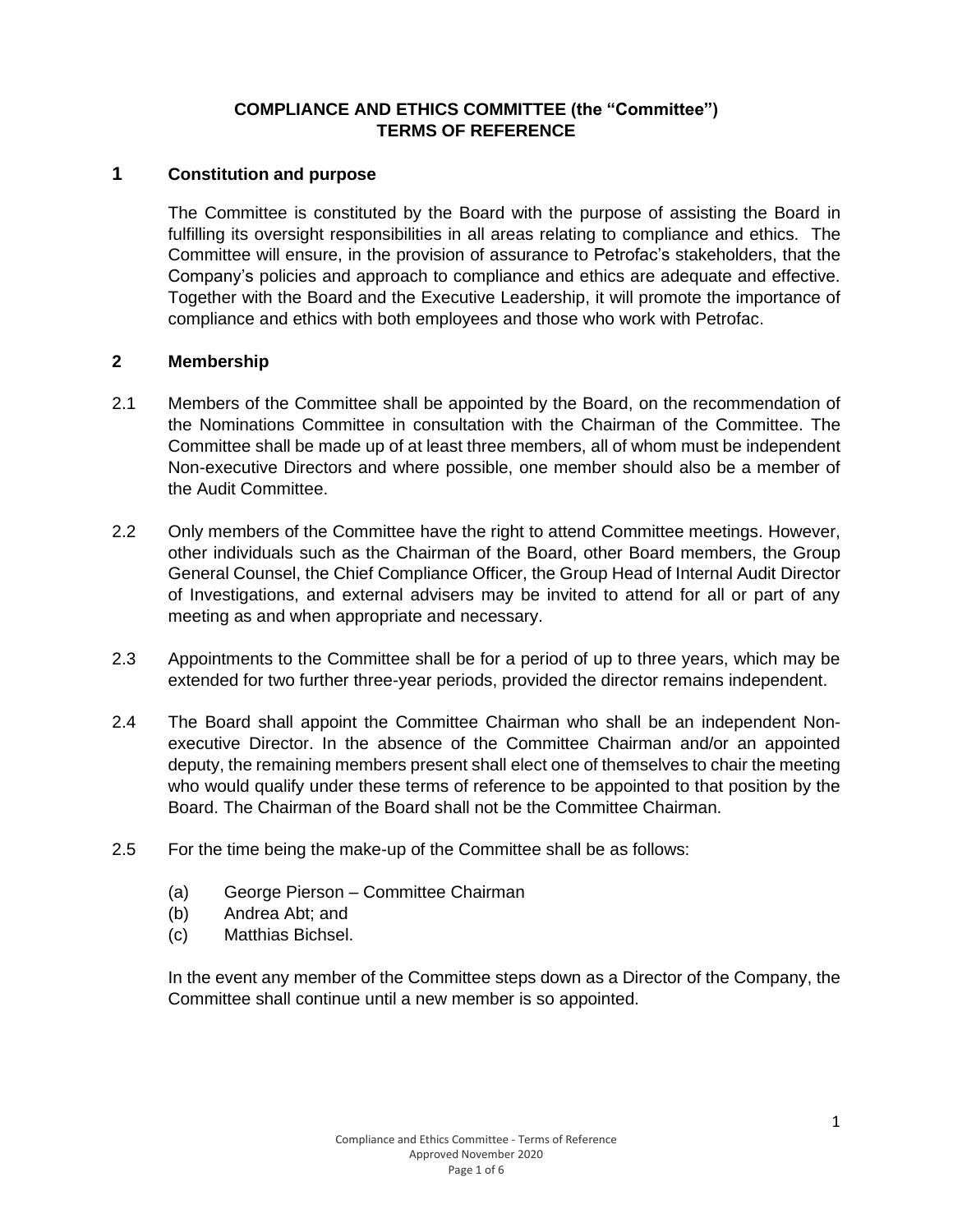## **COMPLIANCE AND ETHICS COMMITTEE (the "Committee") TERMS OF REFERENCE**

## **1 Constitution and purpose**

The Committee is constituted by the Board with the purpose of assisting the Board in fulfilling its oversight responsibilities in all areas relating to compliance and ethics. The Committee will ensure, in the provision of assurance to Petrofac's stakeholders, that the Company's policies and approach to compliance and ethics are adequate and effective. Together with the Board and the Executive Leadership, it will promote the importance of compliance and ethics with both employees and those who work with Petrofac.

#### **2 Membership**

- 2.1 Members of the Committee shall be appointed by the Board, on the recommendation of the Nominations Committee in consultation with the Chairman of the Committee. The Committee shall be made up of at least three members, all of whom must be independent Non-executive Directors and where possible, one member should also be a member of the Audit Committee.
- 2.2 Only members of the Committee have the right to attend Committee meetings. However, other individuals such as the Chairman of the Board, other Board members, the Group General Counsel, the Chief Compliance Officer, the Group Head of Internal Audit Director of Investigations, and external advisers may be invited to attend for all or part of any meeting as and when appropriate and necessary.
- 2.3 Appointments to the Committee shall be for a period of up to three years, which may be extended for two further three-year periods, provided the director remains independent.
- 2.4 The Board shall appoint the Committee Chairman who shall be an independent Nonexecutive Director. In the absence of the Committee Chairman and/or an appointed deputy, the remaining members present shall elect one of themselves to chair the meeting who would qualify under these terms of reference to be appointed to that position by the Board. The Chairman of the Board shall not be the Committee Chairman.
- 2.5 For the time being the make-up of the Committee shall be as follows:
	- (a) George Pierson Committee Chairman
	- (b) Andrea Abt; and
	- (c) Matthias Bichsel.

In the event any member of the Committee steps down as a Director of the Company, the Committee shall continue until a new member is so appointed.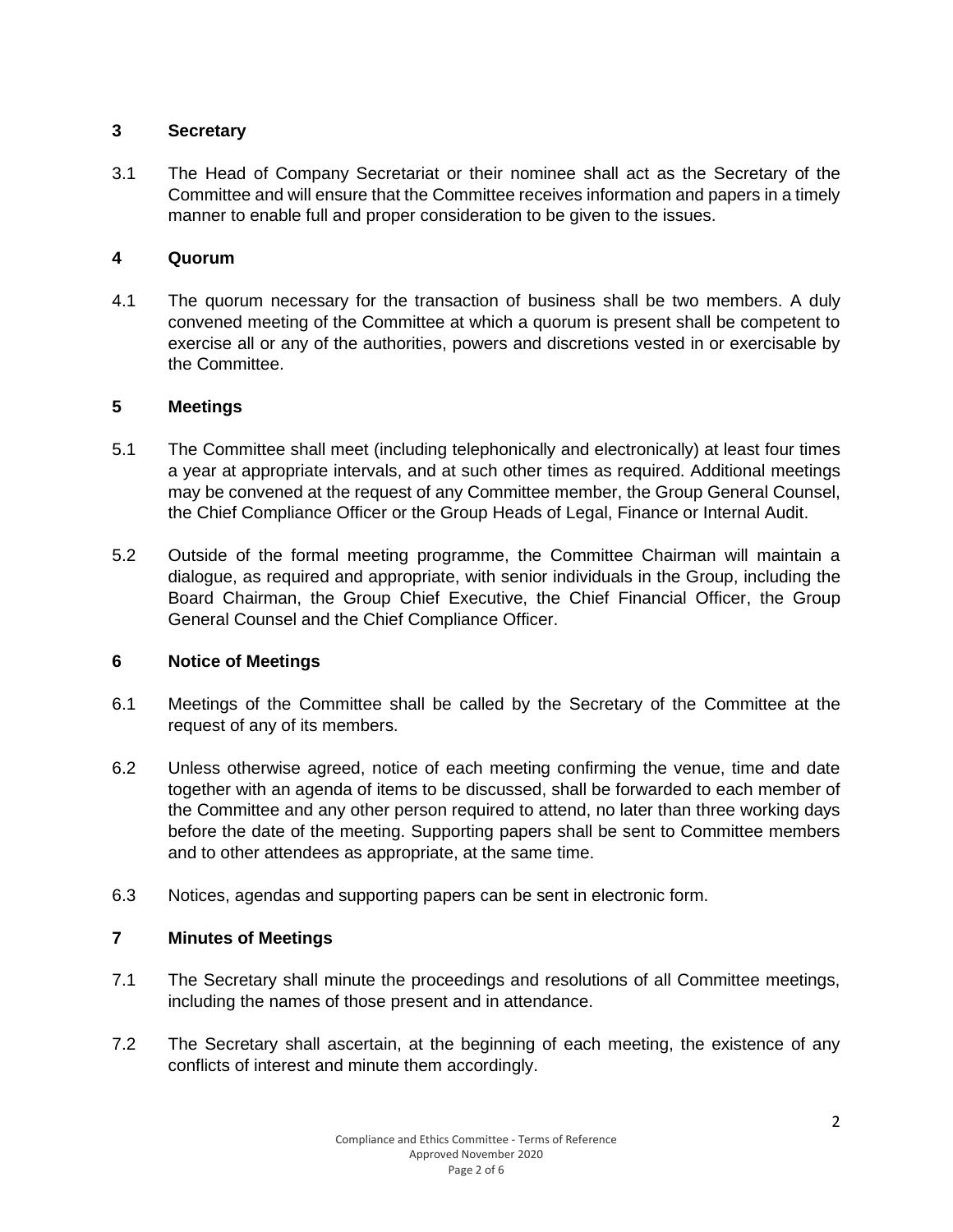## **3 Secretary**

3.1 The Head of Company Secretariat or their nominee shall act as the Secretary of the Committee and will ensure that the Committee receives information and papers in a timely manner to enable full and proper consideration to be given to the issues.

## **4 Quorum**

4.1 The quorum necessary for the transaction of business shall be two members. A duly convened meeting of the Committee at which a quorum is present shall be competent to exercise all or any of the authorities, powers and discretions vested in or exercisable by the Committee.

## **5 Meetings**

- 5.1 The Committee shall meet (including telephonically and electronically) at least four times a year at appropriate intervals, and at such other times as required. Additional meetings may be convened at the request of any Committee member, the Group General Counsel, the Chief Compliance Officer or the Group Heads of Legal, Finance or Internal Audit.
- 5.2 Outside of the formal meeting programme, the Committee Chairman will maintain a dialogue, as required and appropriate, with senior individuals in the Group, including the Board Chairman, the Group Chief Executive, the Chief Financial Officer, the Group General Counsel and the Chief Compliance Officer.

### **6 Notice of Meetings**

- 6.1 Meetings of the Committee shall be called by the Secretary of the Committee at the request of any of its members.
- 6.2 Unless otherwise agreed, notice of each meeting confirming the venue, time and date together with an agenda of items to be discussed, shall be forwarded to each member of the Committee and any other person required to attend, no later than three working days before the date of the meeting. Supporting papers shall be sent to Committee members and to other attendees as appropriate, at the same time.
- 6.3 Notices, agendas and supporting papers can be sent in electronic form.

# **7 Minutes of Meetings**

- 7.1 The Secretary shall minute the proceedings and resolutions of all Committee meetings, including the names of those present and in attendance.
- 7.2 The Secretary shall ascertain, at the beginning of each meeting, the existence of any conflicts of interest and minute them accordingly.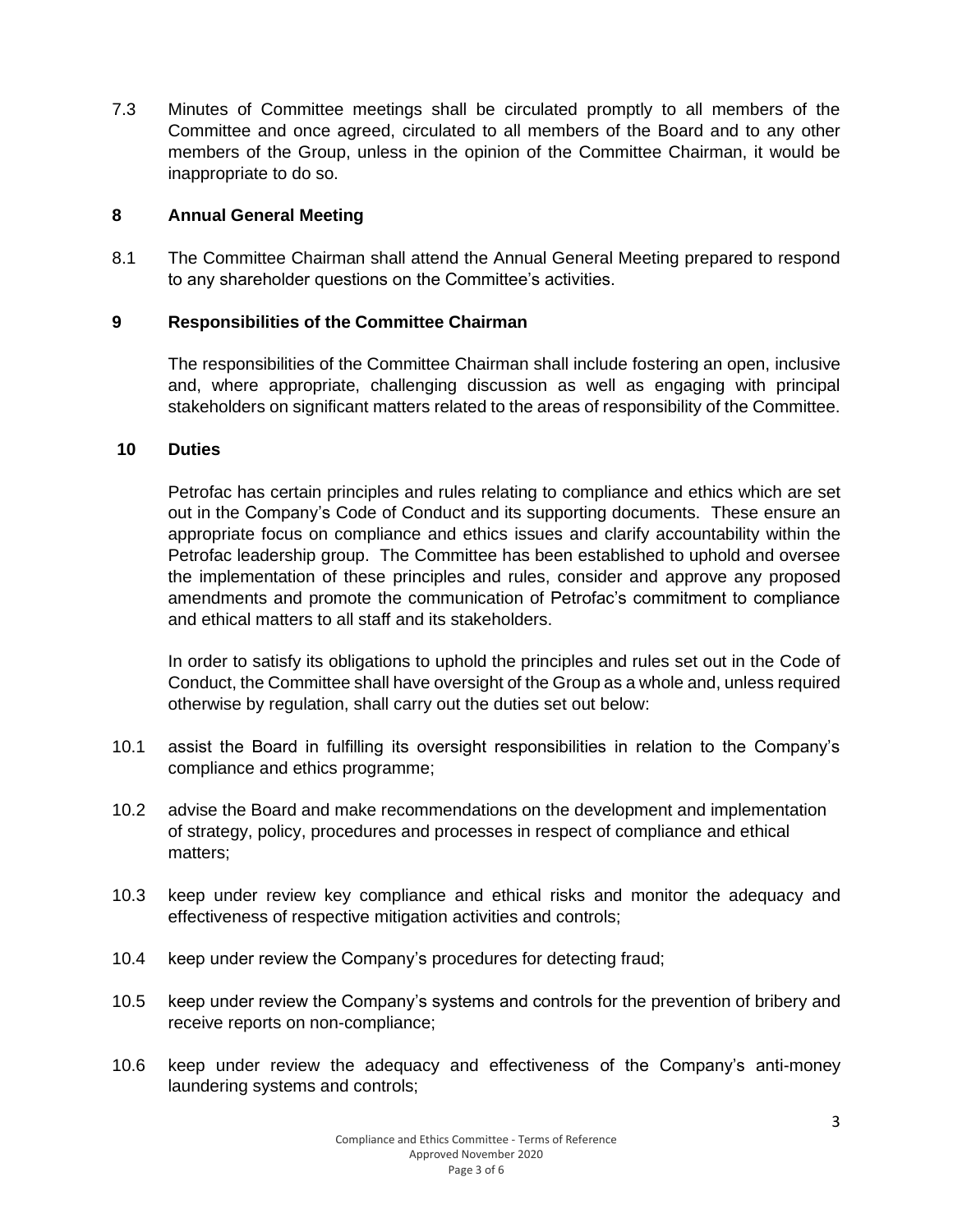7.3 Minutes of Committee meetings shall be circulated promptly to all members of the Committee and once agreed, circulated to all members of the Board and to any other members of the Group, unless in the opinion of the Committee Chairman, it would be inappropriate to do so.

### **8 Annual General Meeting**

8.1 The Committee Chairman shall attend the Annual General Meeting prepared to respond to any shareholder questions on the Committee's activities.

## **9 Responsibilities of the Committee Chairman**

The responsibilities of the Committee Chairman shall include fostering an open, inclusive and, where appropriate, challenging discussion as well as engaging with principal stakeholders on significant matters related to the areas of responsibility of the Committee.

### **10 Duties**

Petrofac has certain principles and rules relating to compliance and ethics which are set out in the Company's Code of Conduct and its supporting documents. These ensure an appropriate focus on compliance and ethics issues and clarify accountability within the Petrofac leadership group. The Committee has been established to uphold and oversee the implementation of these principles and rules, consider and approve any proposed amendments and promote the communication of Petrofac's commitment to compliance and ethical matters to all staff and its stakeholders.

In order to satisfy its obligations to uphold the principles and rules set out in the Code of Conduct, the Committee shall have oversight of the Group as a whole and, unless required otherwise by regulation, shall carry out the duties set out below:

- 10.1 assist the Board in fulfilling its oversight responsibilities in relation to the Company's compliance and ethics programme;
- 10.2 advise the Board and make recommendations on the development and implementation of strategy, policy, procedures and processes in respect of compliance and ethical matters;
- 10.3 keep under review key compliance and ethical risks and monitor the adequacy and effectiveness of respective mitigation activities and controls;
- 10.4 keep under review the Company's procedures for detecting fraud;
- 10.5 keep under review the Company's systems and controls for the prevention of bribery and receive reports on non-compliance;
- 10.6 keep under review the adequacy and effectiveness of the Company's anti-money laundering systems and controls;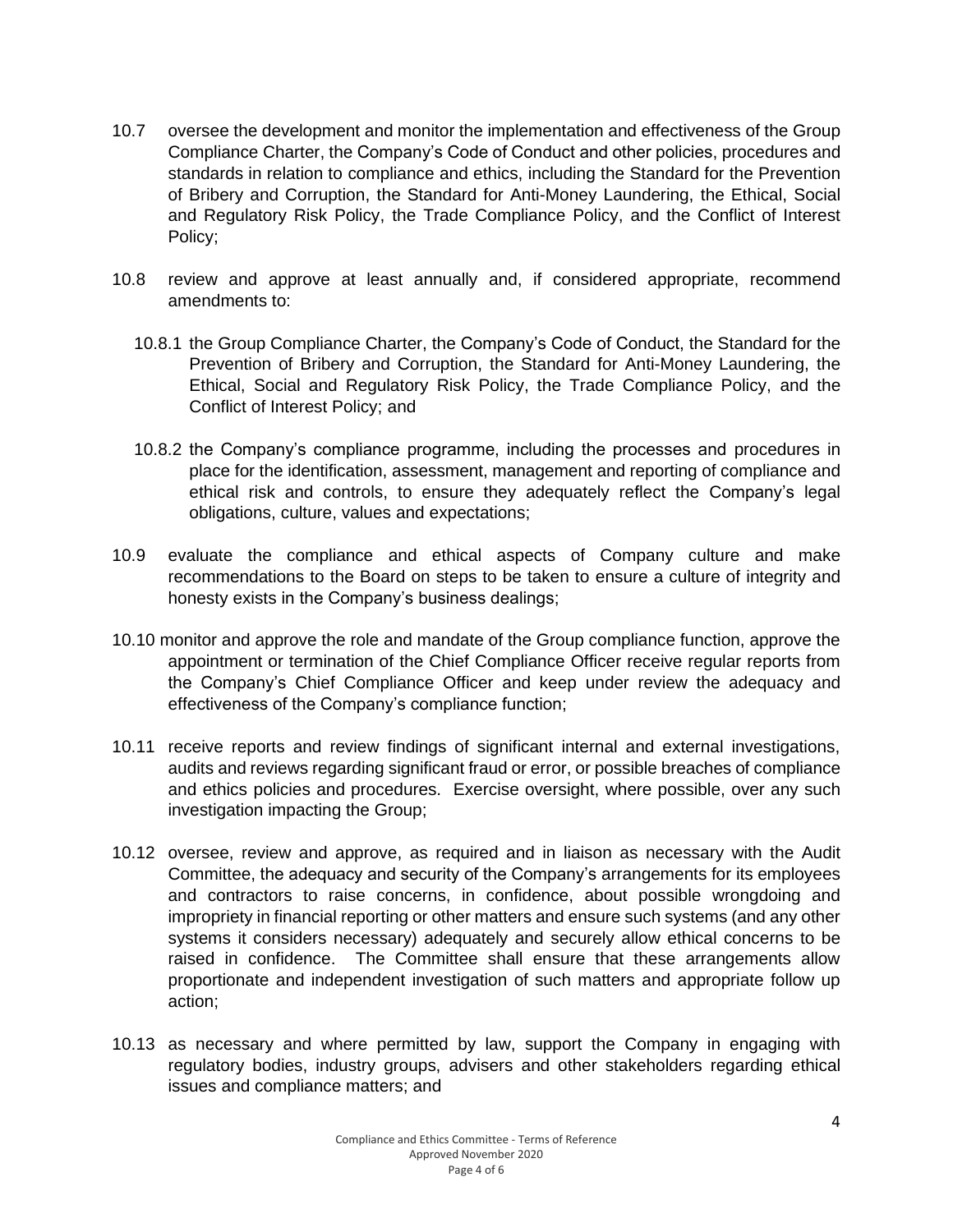- 10.7 oversee the development and monitor the implementation and effectiveness of the Group Compliance Charter, the Company's Code of Conduct and other policies, procedures and standards in relation to compliance and ethics, including the Standard for the Prevention of Bribery and Corruption, the Standard for Anti-Money Laundering, the Ethical, Social and Regulatory Risk Policy, the Trade Compliance Policy, and the Conflict of Interest Policy;
- 10.8 review and approve at least annually and, if considered appropriate, recommend amendments to:
	- 10.8.1 the Group Compliance Charter, the Company's Code of Conduct, the Standard for the Prevention of Bribery and Corruption, the Standard for Anti-Money Laundering, the Ethical, Social and Regulatory Risk Policy, the Trade Compliance Policy, and the Conflict of Interest Policy; and
	- 10.8.2 the Company's compliance programme, including the processes and procedures in place for the identification, assessment, management and reporting of compliance and ethical risk and controls, to ensure they adequately reflect the Company's legal obligations, culture, values and expectations;
- 10.9 evaluate the compliance and ethical aspects of Company culture and make recommendations to the Board on steps to be taken to ensure a culture of integrity and honesty exists in the Company's business dealings;
- 10.10 monitor and approve the role and mandate of the Group compliance function, approve the appointment or termination of the Chief Compliance Officer receive regular reports from the Company's Chief Compliance Officer and keep under review the adequacy and effectiveness of the Company's compliance function;
- 10.11 receive reports and review findings of significant internal and external investigations, audits and reviews regarding significant fraud or error, or possible breaches of compliance and ethics policies and procedures. Exercise oversight, where possible, over any such investigation impacting the Group;
- 10.12 oversee, review and approve, as required and in liaison as necessary with the Audit Committee, the adequacy and security of the Company's arrangements for its employees and contractors to raise concerns, in confidence, about possible wrongdoing and impropriety in financial reporting or other matters and ensure such systems (and any other systems it considers necessary) adequately and securely allow ethical concerns to be raised in confidence. The Committee shall ensure that these arrangements allow proportionate and independent investigation of such matters and appropriate follow up action;
- 10.13 as necessary and where permitted by law, support the Company in engaging with regulatory bodies, industry groups, advisers and other stakeholders regarding ethical issues and compliance matters; and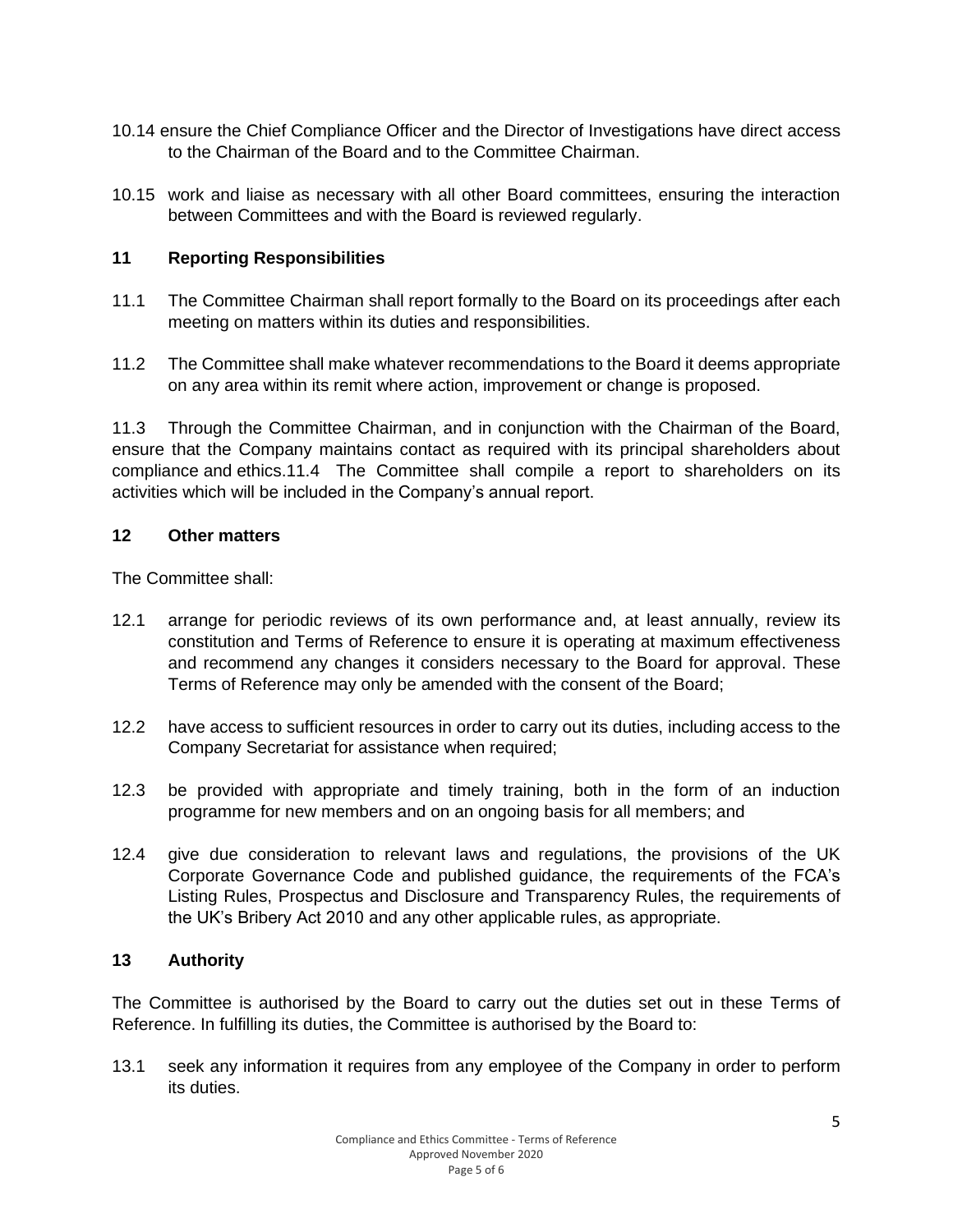- 10.14 ensure the Chief Compliance Officer and the Director of Investigations have direct access to the Chairman of the Board and to the Committee Chairman.
- 10.15 work and liaise as necessary with all other Board committees, ensuring the interaction between Committees and with the Board is reviewed regularly.

## **11 Reporting Responsibilities**

- 11.1 The Committee Chairman shall report formally to the Board on its proceedings after each meeting on matters within its duties and responsibilities.
- 11.2 The Committee shall make whatever recommendations to the Board it deems appropriate on any area within its remit where action, improvement or change is proposed.

11.3 Through the Committee Chairman, and in conjunction with the Chairman of the Board, ensure that the Company maintains contact as required with its principal shareholders about compliance and ethics.11.4 The Committee shall compile a report to shareholders on its activities which will be included in the Company's annual report.

## **12 Other matters**

The Committee shall:

- 12.1 arrange for periodic reviews of its own performance and, at least annually, review its constitution and Terms of Reference to ensure it is operating at maximum effectiveness and recommend any changes it considers necessary to the Board for approval. These Terms of Reference may only be amended with the consent of the Board;
- 12.2 have access to sufficient resources in order to carry out its duties, including access to the Company Secretariat for assistance when required;
- 12.3 be provided with appropriate and timely training, both in the form of an induction programme for new members and on an ongoing basis for all members; and
- 12.4 give due consideration to relevant laws and regulations, the provisions of the UK Corporate Governance Code and published guidance, the requirements of the FCA's Listing Rules, Prospectus and Disclosure and Transparency Rules, the requirements of the UK's Bribery Act 2010 and any other applicable rules, as appropriate.

### **13 Authority**

The Committee is authorised by the Board to carry out the duties set out in these Terms of Reference. In fulfilling its duties, the Committee is authorised by the Board to:

13.1 seek any information it requires from any employee of the Company in order to perform its duties.